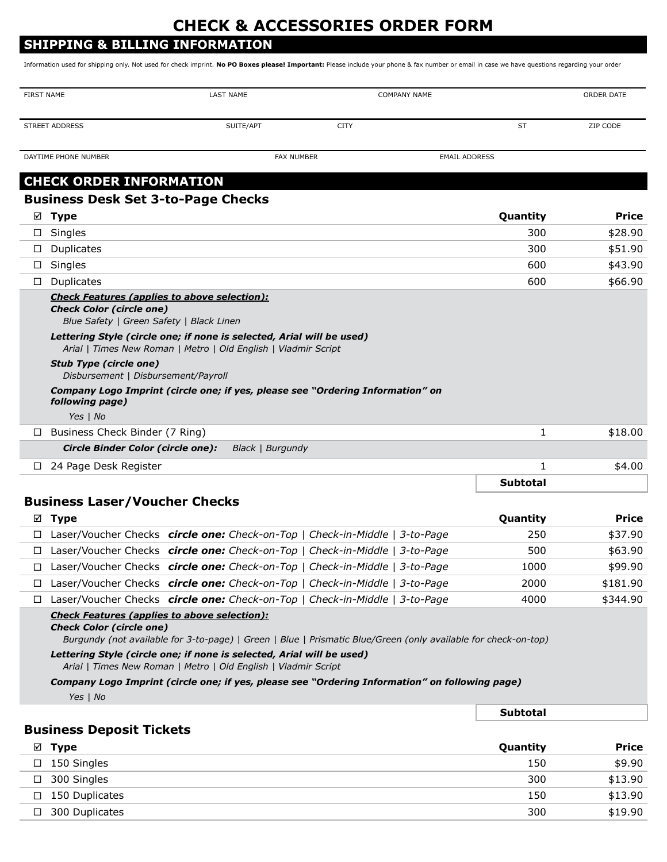# **CHECK & ACCESSORIES ORDER FORM**

## **SHIPPING & BILLING INFORMATION**

Information used for shipping only. Not used for check imprint. **No PO Boxes please! Important:** Please include your phone & fax number or email in case we have questions regarding your order

| <b>FIRST NAME</b> |                                                                                                                                                                                                                                                                                                                                                             | <b>LAST NAME</b>                                                                                                                        | <b>COMPANY NAME</b>                                                            |                 | <b>ORDER DATE</b>  |
|-------------------|-------------------------------------------------------------------------------------------------------------------------------------------------------------------------------------------------------------------------------------------------------------------------------------------------------------------------------------------------------------|-----------------------------------------------------------------------------------------------------------------------------------------|--------------------------------------------------------------------------------|-----------------|--------------------|
|                   | <b>STREET ADDRESS</b>                                                                                                                                                                                                                                                                                                                                       | SUITE/APT                                                                                                                               | <b>CITY</b>                                                                    | <b>ST</b>       | ZIP CODE           |
|                   | DAYTIME PHONE NUMBER                                                                                                                                                                                                                                                                                                                                        | <b>FAX NUMBER</b>                                                                                                                       | <b>EMAIL ADDRESS</b>                                                           |                 |                    |
|                   |                                                                                                                                                                                                                                                                                                                                                             |                                                                                                                                         |                                                                                |                 |                    |
|                   | <b>CHECK ORDER INFORMATION</b>                                                                                                                                                                                                                                                                                                                              |                                                                                                                                         |                                                                                |                 |                    |
|                   | <b>Business Desk Set 3-to-Page Checks</b>                                                                                                                                                                                                                                                                                                                   |                                                                                                                                         |                                                                                |                 |                    |
| ☑                 | <b>Type</b>                                                                                                                                                                                                                                                                                                                                                 |                                                                                                                                         |                                                                                | Quantity        | Price              |
| $\Box$            | Singles                                                                                                                                                                                                                                                                                                                                                     |                                                                                                                                         |                                                                                | 300             | \$28.90            |
| $\Box$            | Duplicates                                                                                                                                                                                                                                                                                                                                                  |                                                                                                                                         |                                                                                | 300             | \$51.90            |
| $\Box$            | Singles                                                                                                                                                                                                                                                                                                                                                     |                                                                                                                                         |                                                                                | 600<br>600      | \$43.90<br>\$66.90 |
| $\Box$            | Duplicates<br><b>Check Features (applies to above selection):</b>                                                                                                                                                                                                                                                                                           |                                                                                                                                         |                                                                                |                 |                    |
|                   | <b>Check Color (circle one)</b>                                                                                                                                                                                                                                                                                                                             |                                                                                                                                         |                                                                                |                 |                    |
|                   | Blue Safety   Green Safety   Black Linen                                                                                                                                                                                                                                                                                                                    |                                                                                                                                         |                                                                                |                 |                    |
|                   |                                                                                                                                                                                                                                                                                                                                                             | Lettering Style (circle one; if none is selected, Arial will be used)<br>Arial   Times New Roman   Metro   Old English   Vladmir Script |                                                                                |                 |                    |
|                   | <b>Stub Type (circle one)</b><br>Disbursement   Disbursement/Payroll                                                                                                                                                                                                                                                                                        |                                                                                                                                         |                                                                                |                 |                    |
|                   | following page)                                                                                                                                                                                                                                                                                                                                             |                                                                                                                                         | Company Logo Imprint (circle one; if yes, please see "Ordering Information" on |                 |                    |
|                   | Yes $ $ No                                                                                                                                                                                                                                                                                                                                                  |                                                                                                                                         |                                                                                |                 |                    |
|                   | $\Box$ Business Check Binder (7 Ring)                                                                                                                                                                                                                                                                                                                       |                                                                                                                                         |                                                                                | 1               | \$18.00            |
|                   | <b>Circle Binder Color (circle one):</b>                                                                                                                                                                                                                                                                                                                    | Black   Burgundy                                                                                                                        |                                                                                |                 |                    |
| ⊔ –               | 24 Page Desk Register                                                                                                                                                                                                                                                                                                                                       |                                                                                                                                         |                                                                                | 1               | \$4.00             |
|                   |                                                                                                                                                                                                                                                                                                                                                             |                                                                                                                                         |                                                                                | <b>Subtotal</b> |                    |
|                   | <b>Business Laser/Voucher Checks</b>                                                                                                                                                                                                                                                                                                                        |                                                                                                                                         |                                                                                |                 |                    |
| ☑                 | Type                                                                                                                                                                                                                                                                                                                                                        |                                                                                                                                         |                                                                                | Quantity        | <b>Price</b>       |
| $\Box$            |                                                                                                                                                                                                                                                                                                                                                             |                                                                                                                                         | Laser/Voucher Checks circle one: Check-on-Top   Check-in-Middle   3-to-Page    | 250             | \$37.90            |
| $\Box$            |                                                                                                                                                                                                                                                                                                                                                             |                                                                                                                                         | Laser/Voucher Checks circle one: Check-on-Top   Check-in-Middle   3-to-Page    | 500             | \$63.90            |
| ப                 |                                                                                                                                                                                                                                                                                                                                                             |                                                                                                                                         | Laser/Voucher Checks circle one: Check-on-Top   Check-in-Middle   3-to-Page    | 1000            | \$99.90            |
| $\Box$            |                                                                                                                                                                                                                                                                                                                                                             |                                                                                                                                         | Laser/Voucher Checks circle one: Check-on-Top   Check-in-Middle   3-to-Page    | 2000            | \$181.90           |
| $\Box$            |                                                                                                                                                                                                                                                                                                                                                             |                                                                                                                                         | Laser/Voucher Checks circle one: Check-on-Top   Check-in-Middle   3-to-Page    | 4000            | \$344.90           |
|                   | <b>Check Features (applies to above selection):</b><br><b>Check Color (circle one)</b>                                                                                                                                                                                                                                                                      |                                                                                                                                         |                                                                                |                 |                    |
|                   | Burgundy (not available for 3-to-page)   Green   Blue   Prismatic Blue/Green (only available for check-on-top)<br>Lettering Style (circle one; if none is selected, Arial will be used)<br>Arial   Times New Roman   Metro   Old English   Vladmir Script<br>Company Logo Imprint (circle one; if yes, please see "Ordering Information" on following page) |                                                                                                                                         |                                                                                |                 |                    |
|                   |                                                                                                                                                                                                                                                                                                                                                             |                                                                                                                                         |                                                                                |                 |                    |
|                   | Yes $\mid$ No                                                                                                                                                                                                                                                                                                                                               |                                                                                                                                         |                                                                                |                 |                    |
|                   |                                                                                                                                                                                                                                                                                                                                                             |                                                                                                                                         |                                                                                | <b>Subtotal</b> |                    |
|                   | <b>Business Deposit Tickets</b>                                                                                                                                                                                                                                                                                                                             |                                                                                                                                         |                                                                                |                 |                    |
|                   | $\boxtimes$ Type                                                                                                                                                                                                                                                                                                                                            |                                                                                                                                         |                                                                                | Quantity        | <b>Price</b>       |
| $\Box$            | 150 Singles                                                                                                                                                                                                                                                                                                                                                 |                                                                                                                                         |                                                                                | 150             | \$9.90             |
|                   | $\Box$ 300 Singles                                                                                                                                                                                                                                                                                                                                          |                                                                                                                                         |                                                                                | 300             | \$13.90            |

 $\Box$  150 Duplicates  $\Box$  150  $\Box$  \$13.90  $\Box$  300 Duplicates  $\Box$  300  $\Box$  \$19.90